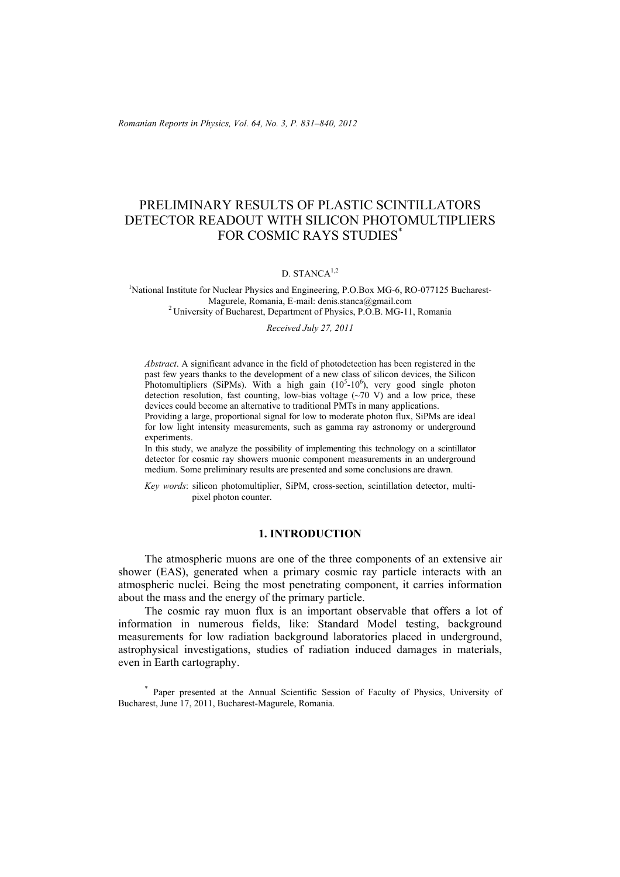*Romanian Reports in Physics, Vol. 64, No. 3, P. 831–840, 2012*

# PRELIMINARY RESULTS OF PLASTIC SCINTILLATORS DETECTOR READOUT WITH SILICON PHOTOMULTIPLIERS FOR COSMIC RAYS STUDIES<sup>\*</sup>

## D. STANC $A^{1,2}$

<sup>1</sup>National Institute for Nuclear Physics and Engineering, P.O.Box MG-6, RO-077125 Bucharest-Magurele, Romania, E-mail: denis.stanca@gmail.com 2 University of Bucharest, Department of Physics, P.O.B. MG-11, Romania

*Received July 27, 2011* 

*Abstract*. A significant advance in the field of photodetection has been registered in the past few years thanks to the development of a new class of silicon devices, the Silicon Photomultipliers (SiPMs). With a high gain  $(10^5 \text{-} 10^6)$ , very good single photon detection resolution, fast counting, low-bias voltage  $(\sim 70 \text{ V})$  and a low price, these devices could become an alternative to traditional PMTs in many applications.

Providing a large, proportional signal for low to moderate photon flux, SiPMs are ideal for low light intensity measurements, such as gamma ray astronomy or underground experiments.

In this study, we analyze the possibility of implementing this technology on a scintillator detector for cosmic ray showers muonic component measurements in an underground medium. Some preliminary results are presented and some conclusions are drawn.

*Key words*: silicon photomultiplier, SiPM, cross-section, scintillation detector, multipixel photon counter.

# **1. INTRODUCTION**

The atmospheric muons are one of the three components of an extensive air shower (EAS), generated when a primary cosmic ray particle interacts with an atmospheric nuclei. Being the most penetrating component, it carries information about the mass and the energy of the primary particle.

The cosmic ray muon flux is an important observable that offers a lot of information in numerous fields, like: Standard Model testing, background measurements for low radiation background laboratories placed in underground, astrophysical investigations, studies of radiation induced damages in materials, even in Earth cartography.

\* Paper presented at the Annual Scientific Session of Faculty of Physics, University of Bucharest, June 17, 2011, Bucharest-Magurele, Romania.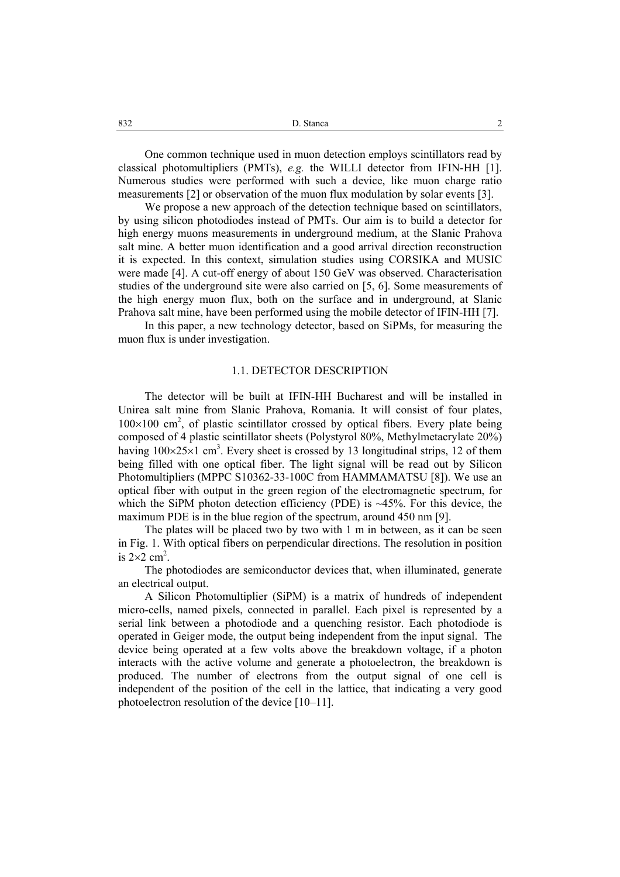One common technique used in muon detection employs scintillators read by classical photomultipliers (PMTs), *e.g.* the WILLI detector from IFIN-HH [1]. Numerous studies were performed with such a device, like muon charge ratio measurements [2] or observation of the muon flux modulation by solar events [3].

We propose a new approach of the detection technique based on scintillators, by using silicon photodiodes instead of PMTs. Our aim is to build a detector for high energy muons measurements in underground medium, at the Slanic Prahova salt mine. A better muon identification and a good arrival direction reconstruction it is expected. In this context, simulation studies using CORSIKA and MUSIC were made [4]. A cut-off energy of about 150 GeV was observed. Characterisation studies of the underground site were also carried on [5, 6]. Some measurements of the high energy muon flux, both on the surface and in underground, at Slanic Prahova salt mine, have been performed using the mobile detector of IFIN-HH [7].

In this paper, a new technology detector, based on SiPMs, for measuring the muon flux is under investigation.

### 1.1. DETECTOR DESCRIPTION

 The detector will be built at IFIN-HH Bucharest and will be installed in Unirea salt mine from Slanic Prahova, Romania. It will consist of four plates,  $100\times100$  cm<sup>2</sup>, of plastic scintillator crossed by optical fibers. Every plate being composed of 4 plastic scintillator sheets (Polystyrol 80%, Methylmetacrylate 20%) having  $100 \times 25 \times 1$  cm<sup>3</sup>. Every sheet is crossed by 13 longitudinal strips, 12 of them being filled with one optical fiber. The light signal will be read out by Silicon Photomultipliers (MPPC S10362-33-100C from HAMMAMATSU [8]). We use an optical fiber with output in the green region of the electromagnetic spectrum, for which the SiPM photon detection efficiency (PDE) is  $~45\%$ . For this device, the maximum PDE is in the blue region of the spectrum, around 450 nm [9].

The plates will be placed two by two with 1 m in between, as it can be seen in Fig. 1. With optical fibers on perpendicular directions. The resolution in position is  $2\times2$  cm<sup>2</sup>.

The photodiodes are semiconductor devices that, when illuminated, generate an electrical output.

A Silicon Photomultiplier (SiPM) is a matrix of hundreds of independent micro-cells, named pixels, connected in parallel. Each pixel is represented by a serial link between a photodiode and a quenching resistor. Each photodiode is operated in Geiger mode, the output being independent from the input signal. The device being operated at a few volts above the breakdown voltage, if a photon interacts with the active volume and generate a photoelectron, the breakdown is produced. The number of electrons from the output signal of one cell is independent of the position of the cell in the lattice, that indicating a very good photoelectron resolution of the device [10–11].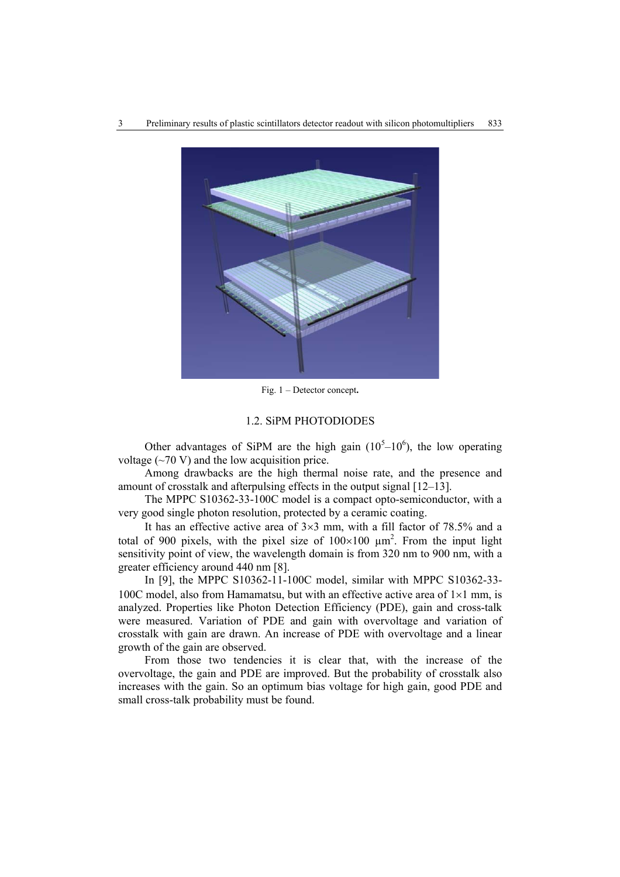

Fig. 1 – Detector concept**.** 

# 1.2. SiPM PHOTODIODES

Other advantages of SiPM are the high gain  $(10<sup>5</sup>-10<sup>6</sup>)$ , the low operating voltage  $(\sim 70 \text{ V})$  and the low acquisition price.

Among drawbacks are the high thermal noise rate, and the presence and amount of crosstalk and afterpulsing effects in the output signal [12–13].

The MPPC S10362-33-100C model is a compact opto-semiconductor, with a very good single photon resolution, protected by a ceramic coating.

It has an effective active area of  $3\times3$  mm, with a fill factor of 78.5% and a total of 900 pixels, with the pixel size of  $100\times100 \mu m^2$ . From the input light sensitivity point of view, the wavelength domain is from 320 nm to 900 nm, with a greater efficiency around 440 nm [8].

In [9], the MPPC S10362-11-100C model, similar with MPPC S10362-33- 100C model, also from Hamamatsu, but with an effective active area of  $1\times1$  mm, is analyzed. Properties like Photon Detection Efficiency (PDE), gain and cross-talk were measured. Variation of PDE and gain with overvoltage and variation of crosstalk with gain are drawn. An increase of PDE with overvoltage and a linear growth of the gain are observed.

From those two tendencies it is clear that, with the increase of the overvoltage, the gain and PDE are improved. But the probability of crosstalk also increases with the gain. So an optimum bias voltage for high gain, good PDE and small cross-talk probability must be found.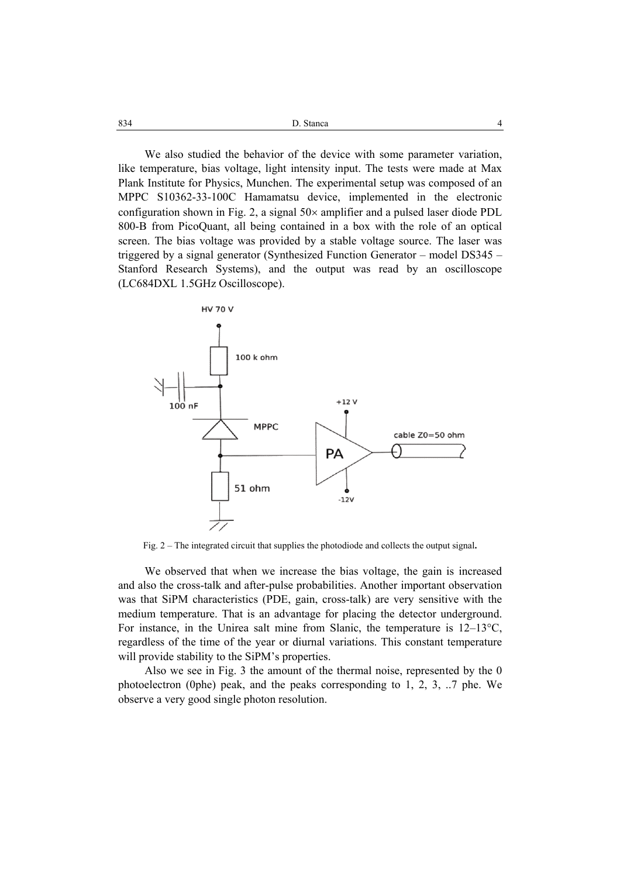834 **b** B. Stanca **1 b** B. Stanca **1 b b c 1 b 1 c 1 b 1 c 1 b 1 c 1 b 1 c 1 c 1 d 1 d 1 d 1 d 1 d 1 d 1 d 1 d 1 d 1 d 1 d 1 d 1** 

We also studied the behavior of the device with some parameter variation, like temperature, bias voltage, light intensity input. The tests were made at Max Plank Institute for Physics, Munchen. The experimental setup was composed of an MPPC S10362-33-100C Hamamatsu device, implemented in the electronic configuration shown in Fig. 2, a signal  $50\times$  amplifier and a pulsed laser diode PDL 800-B from PicoQuant, all being contained in a box with the role of an optical screen. The bias voltage was provided by a stable voltage source. The laser was triggered by a signal generator (Synthesized Function Generator – model DS345 – Stanford Research Systems), and the output was read by an oscilloscope (LC684DXL 1.5GHz Oscilloscope).



Fig. 2 – The integrated circuit that supplies the photodiode and collects the output signal**.** 

We observed that when we increase the bias voltage, the gain is increased and also the cross-talk and after-pulse probabilities. Another important observation was that SiPM characteristics (PDE, gain, cross-talk) are very sensitive with the medium temperature. That is an advantage for placing the detector underground. For instance, in the Unirea salt mine from Slanic, the temperature is 12–13°C, regardless of the time of the year or diurnal variations. This constant temperature will provide stability to the SiPM's properties.

Also we see in Fig. 3 the amount of the thermal noise, represented by the 0 photoelectron (0phe) peak, and the peaks corresponding to 1, 2, 3, ..7 phe. We observe a very good single photon resolution.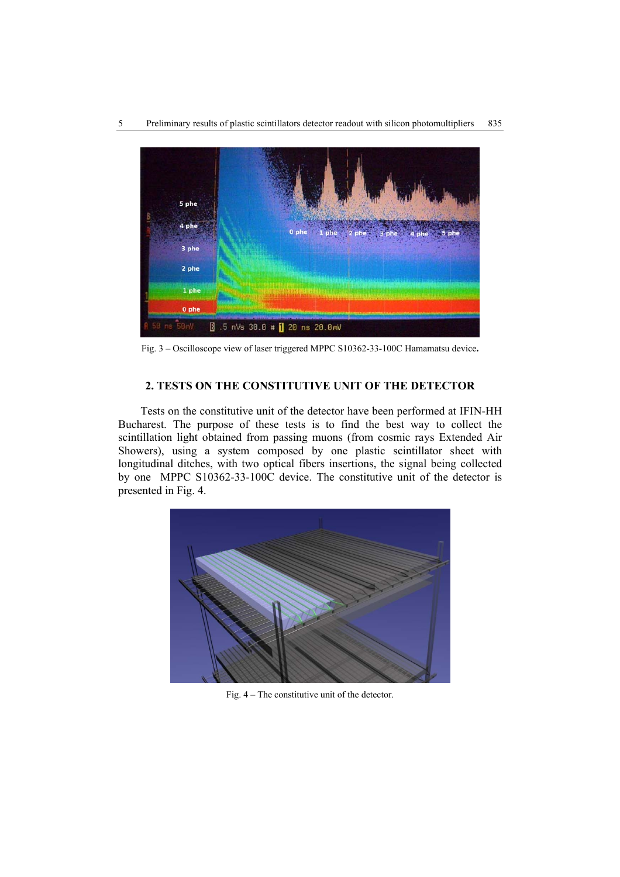

Fig. 3 – Oscilloscope view of laser triggered MPPC S10362-33-100C Hamamatsu device**.** 

# **2. TESTS ON THE CONSTITUTIVE UNIT OF THE DETECTOR**

Tests on the constitutive unit of the detector have been performed at IFIN-HH Bucharest. The purpose of these tests is to find the best way to collect the scintillation light obtained from passing muons (from cosmic rays Extended Air Showers), using a system composed by one plastic scintillator sheet with longitudinal ditches, with two optical fibers insertions, the signal being collected by one MPPC S10362-33-100C device. The constitutive unit of the detector is presented in Fig. 4.



Fig. 4 – The constitutive unit of the detector.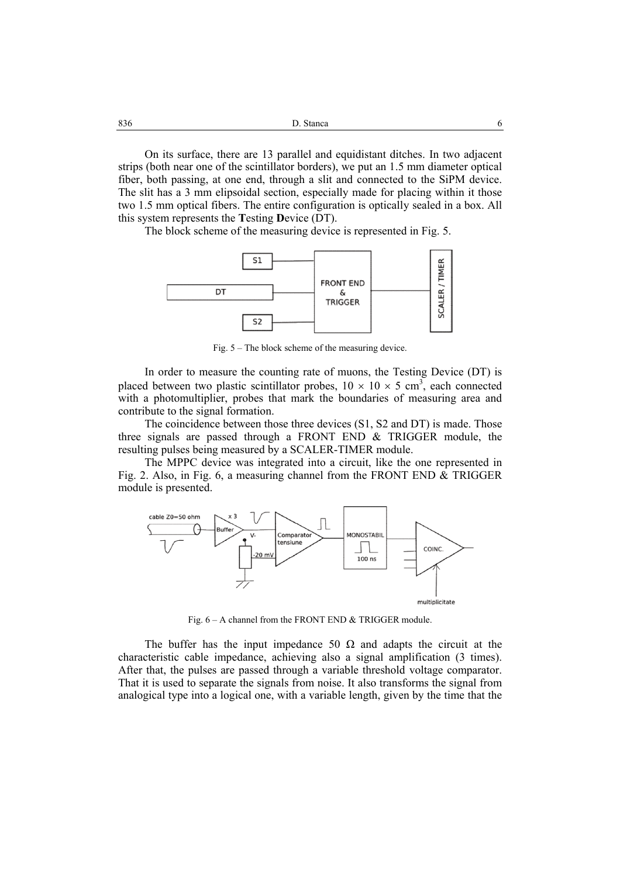On its surface, there are 13 parallel and equidistant ditches. In two adjacent strips (both near one of the scintillator borders), we put an 1.5 mm diameter optical fiber, both passing, at one end, through a slit and connected to the SiPM device. The slit has a 3 mm elipsoidal section, especially made for placing within it those two 1.5 mm optical fibers. The entire configuration is optically sealed in a box. All this system represents the **T**esting **D**evice (DT).

The block scheme of the measuring device is represented in Fig. 5.



Fig. 5 – The block scheme of the measuring device.

In order to measure the counting rate of muons, the Testing Device (DT) is placed between two plastic scintillator probes,  $10 \times 10 \times 5$  cm<sup>3</sup>, each connected with a photomultiplier, probes that mark the boundaries of measuring area and contribute to the signal formation.

The coincidence between those three devices (S1, S2 and DT) is made. Those three signals are passed through a FRONT END & TRIGGER module, the resulting pulses being measured by a SCALER-TIMER module.

The MPPC device was integrated into a circuit, like the one represented in Fig. 2. Also, in Fig. 6, a measuring channel from the FRONT END & TRIGGER module is presented.



Fig. 6 – A channel from the FRONT END & TRIGGER module.

The buffer has the input impedance 50  $\Omega$  and adapts the circuit at the characteristic cable impedance, achieving also a signal amplification (3 times). After that, the pulses are passed through a variable threshold voltage comparator. That it is used to separate the signals from noise. It also transforms the signal from analogical type into a logical one, with a variable length, given by the time that the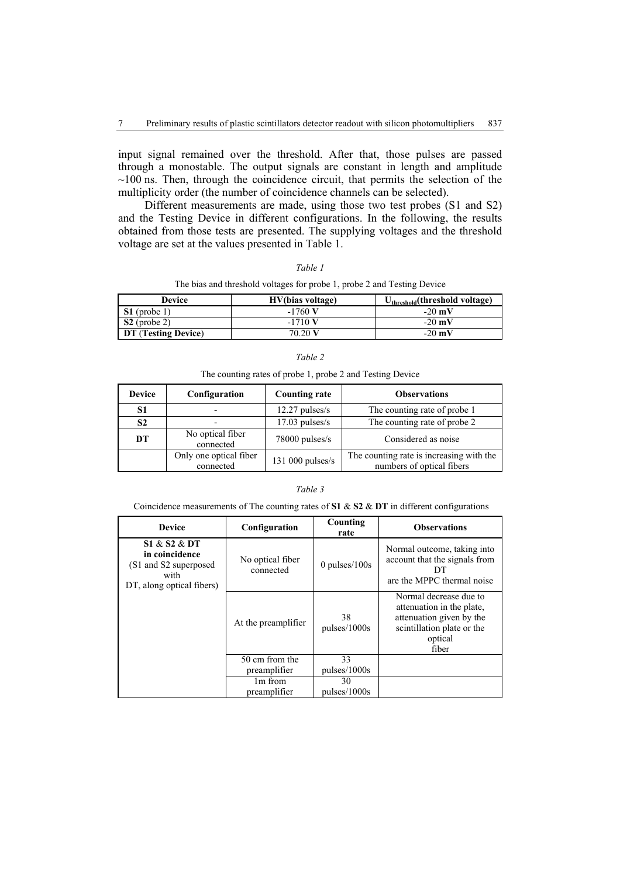input signal remained over the threshold. After that, those pulses are passed through a monostable. The output signals are constant in length and amplitude  $\sim$ 100 ns. Then, through the coincidence circuit, that permits the selection of the multiplicity order (the number of coincidence channels can be selected).

Different measurements are made, using those two test probes (S1 and S2) and the Testing Device in different configurations. In the following, the results obtained from those tests are presented. The supplying voltages and the threshold voltage are set at the values presented in Table 1.

#### The bias and threshold voltages for probe 1, probe 2 and Testing Device

| Device              | <b>HV</b> (bias voltage) | $U_{threshold}(threshold voltage)$ |
|---------------------|--------------------------|------------------------------------|
| $S1$ (probe 1)      | $-1760$ V                | $-20$ mV                           |
| $S2$ (probe 2)      | $-1710$ V                | $-20$ mV                           |
| DT (Testing Device) | 70.20 V                  | $-20$ mV                           |

| an. |  |
|-----|--|
|     |  |

The counting rates of probe 1, probe 2 and Testing Device

| <b>Device</b>  | Configuration                       | <b>Counting rate</b> | <b>Observations</b>                                                   |
|----------------|-------------------------------------|----------------------|-----------------------------------------------------------------------|
| S1             |                                     | $12.27$ pulses/s     | The counting rate of probe 1                                          |
| S <sub>2</sub> |                                     | $17.03$ pulses/s     | The counting rate of probe 2                                          |
| DT             | No optical fiber<br>connected       | 78000 pulses/s       | Considered as noise                                                   |
|                | Only one optical fiber<br>connected | $131000$ pulses/s    | The counting rate is increasing with the<br>numbers of optical fibers |

*Table 3*

Coincidence measurements of The counting rates of **S1** & **S2** & **DT** in different configurations

| <b>Device</b>                                                                                 | Configuration                 | Counting<br>rate   | <b>Observations</b>                                                                                                               |
|-----------------------------------------------------------------------------------------------|-------------------------------|--------------------|-----------------------------------------------------------------------------------------------------------------------------------|
| S1 & S2 & DT<br>in coincidence<br>(S1 and S2 superposed)<br>with<br>DT, along optical fibers) | No optical fiber<br>connected | 0 pulses/ $100s$   | Normal outcome, taking into<br>account that the signals from<br>DТ<br>are the MPPC thermal noise                                  |
|                                                                                               | At the preamplifier           | 38<br>pulses/1000s | Normal decrease due to<br>attenuation in the plate,<br>attenuation given by the<br>scintillation plate or the<br>optical<br>fiber |
|                                                                                               | 50 cm from the                | 33                 |                                                                                                                                   |
|                                                                                               | preamplifier                  | pulses/1000s       |                                                                                                                                   |
|                                                                                               | 1 <sub>m</sub> from           | 30                 |                                                                                                                                   |
|                                                                                               | preamplifier                  | pulses/1000s       |                                                                                                                                   |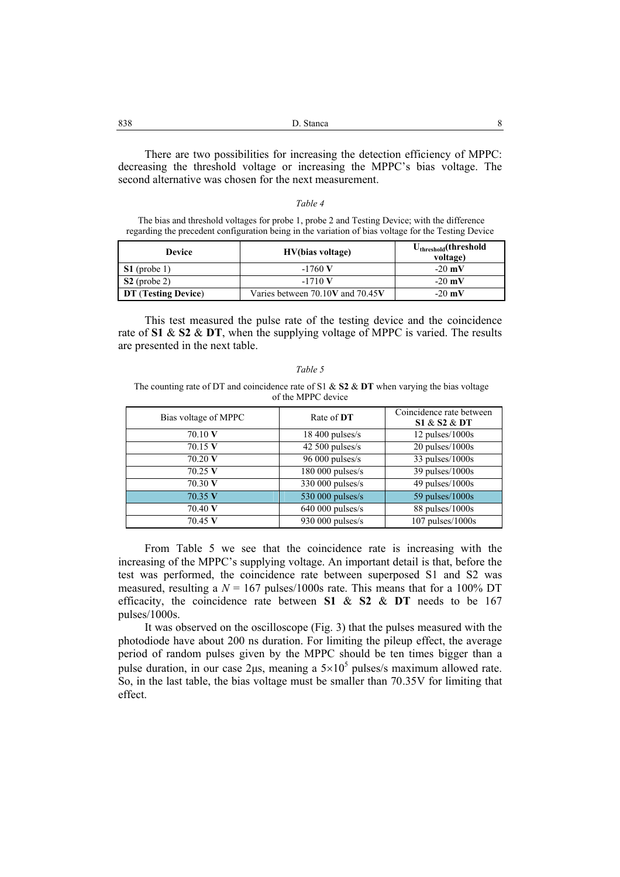| 838 | –<br>Stanca |  |
|-----|-------------|--|
|     |             |  |

There are two possibilities for increasing the detection efficiency of MPPC: decreasing the threshold voltage or increasing the MPPC's bias voltage. The second alternative was chosen for the next measurement.

#### *Table 4*

 The bias and threshold voltages for probe 1, probe 2 and Testing Device; with the difference regarding the precedent configuration being in the variation of bias voltage for the Testing Device

| <b>Device</b>       | HV(bias voltage)                     | $U_{threshold}(threshold)$<br>voltage) |
|---------------------|--------------------------------------|----------------------------------------|
| $S1$ (probe 1)      | $-1760$ V                            | $-20$ mV                               |
| $S2$ (probe 2)      | $-1710$ V                            | $-20$ mV                               |
| DT (Testing Device) | Varies between $70.10V$ and $70.45V$ | $-20$ mV                               |

This test measured the pulse rate of the testing device and the coincidence rate of **S1** & **S2** & **DT**, when the supplying voltage of MPPC is varied. The results are presented in the next table.

 The counting rate of DT and coincidence rate of S1 & **S2** & **DT** when varying the bias voltage of the MPPC device

| Bias voltage of MPPC | Rate of DT         | Coincidence rate between<br>S1 & S2 & DT |
|----------------------|--------------------|------------------------------------------|
| 70.10 V              | $18\,400$ pulses/s | $12 \text{ pulses}/1000 \text{s}$        |
| $70.15$ V            | 42 500 pulses/s    | 20 pulses/1000s                          |
| 70.20 V              | 96 000 pulses/s    | 33 pulses/1000s                          |
| $70.25$ V            | 180 000 pulses/s   | $39$ pulses/ $1000s$                     |
| 70.30 V              | 330 000 pulses/s   | $49$ pulses/ $1000s$                     |
| 70.35 V              | 530 000 pulses/s   | 59 pulses/1000s                          |
| 70.40 V              | $640000$ pulses/s  | 88 pulses/1000s                          |
| 70.45 V              | 930 000 pulses/s   | $107$ pulses/ $1000s$                    |

From Table 5 we see that the coincidence rate is increasing with the increasing of the MPPC's supplying voltage. An important detail is that, before the test was performed, the coincidence rate between superposed S1 and S2 was measured, resulting a  $N = 167$  pulses/1000s rate. This means that for a 100% DT efficacity, the coincidence rate between **S1** & **S2** & **DT** needs to be 167 pulses/1000s.

It was observed on the oscilloscope (Fig. 3) that the pulses measured with the photodiode have about 200 ns duration. For limiting the pileup effect, the average period of random pulses given by the MPPC should be ten times bigger than a pulse duration, in our case 2 $\mu$ s, meaning a 5×10<sup>5</sup> pulses/s maximum allowed rate. So, in the last table, the bias voltage must be smaller than 70.35V for limiting that effect.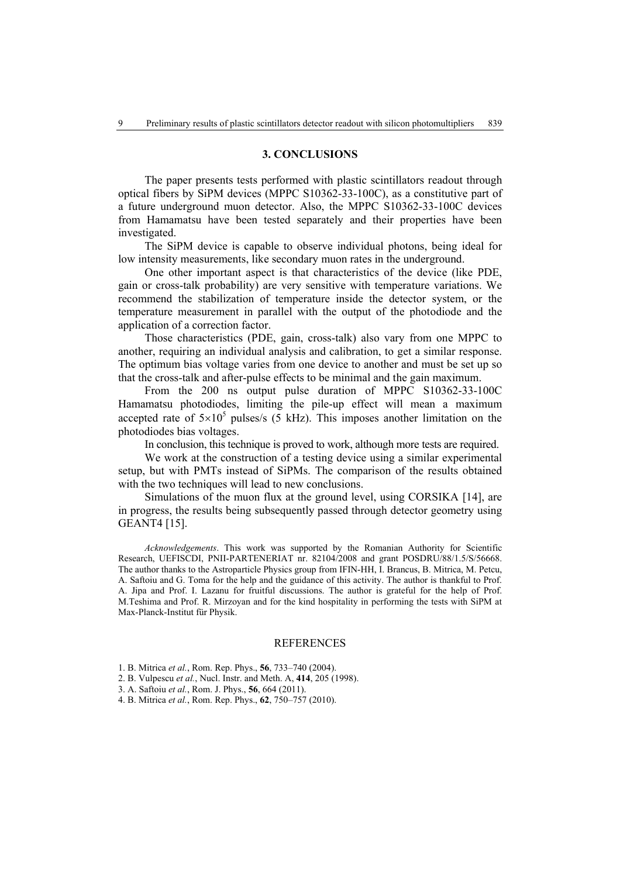## **3. CONCLUSIONS**

The paper presents tests performed with plastic scintillators readout through optical fibers by SiPM devices (MPPC S10362-33-100C), as a constitutive part of a future underground muon detector. Also, the MPPC S10362-33-100C devices from Hamamatsu have been tested separately and their properties have been investigated.

The SiPM device is capable to observe individual photons, being ideal for low intensity measurements, like secondary muon rates in the underground.

One other important aspect is that characteristics of the device (like PDE, gain or cross-talk probability) are very sensitive with temperature variations. We recommend the stabilization of temperature inside the detector system, or the temperature measurement in parallel with the output of the photodiode and the application of a correction factor.

Those characteristics (PDE, gain, cross-talk) also vary from one MPPC to another, requiring an individual analysis and calibration, to get a similar response. The optimum bias voltage varies from one device to another and must be set up so that the cross-talk and after-pulse effects to be minimal and the gain maximum.

From the 200 ns output pulse duration of MPPC S10362-33-100C Hamamatsu photodiodes, limiting the pile-up effect will mean a maximum accepted rate of  $5\times10^5$  pulses/s (5 kHz). This imposes another limitation on the photodiodes bias voltages.

In conclusion, this technique is proved to work, although more tests are required.

We work at the construction of a testing device using a similar experimental setup, but with PMTs instead of SiPMs. The comparison of the results obtained with the two techniques will lead to new conclusions.

Simulations of the muon flux at the ground level, using CORSIKA [14], are in progress, the results being subsequently passed through detector geometry using GEANT4 [15].

*Acknowledgements*. This work was supported by the Romanian Authority for Scientific Research, UEFISCDI, PNII-PARTENERIAT nr. 82104/2008 and grant POSDRU/88/1.5/S/56668. The author thanks to the Astroparticle Physics group from IFIN-HH, I. Brancus, B. Mitrica, M. Petcu, A. Saftoiu and G. Toma for the help and the guidance of this activity. The author is thankful to Prof. A. Jipa and Prof. I. Lazanu for fruitful discussions. The author is grateful for the help of Prof. M.Teshima and Prof. R. Mirzoyan and for the kind hospitality in performing the tests with SiPM at Max-Planck-Institut für Physik.

### REFERENCES

- 1. B. Mitrica *et al.*, Rom. Rep. Phys., **56**, 733–740 (2004).
- 2. B. Vulpescu *et al.*, Nucl. Instr. and Meth. A, **414**, 205 (1998).
- 3. A. Saftoiu *et al.*, Rom. J. Phys., **56**, 664 (2011).
- 4. B. Mitrica *et al.*, Rom. Rep. Phys., **62**, 750–757 (2010).